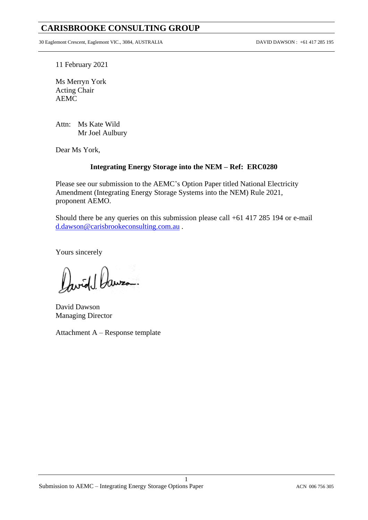## **CARISBROOKE CONSULTING GROUP**

30 Eaglemont Crescent, Eaglemont VIC., 3084, AUSTRALIA DAVID DAWSON : +61 417 285 195

11 February 2021

Ms Merryn York Acting Chair AEMC

Attn: Ms Kate Wild Mr Joel Aulbury

Dear Ms York,

## **Integrating Energy Storage into the NEM – Ref: ERC0280**

Please see our submission to the AEMC's Option Paper titled National Electricity Amendment (Integrating Energy Storage Systems into the NEM) Rule 2021, proponent AEMO.

Should there be any queries on this submission please call +61 417 285 194 or e-mail [d.dawson@carisbrookeconsulting.com.au](mailto:d.dawson@carisbrookeconsulting.com.au) .

1

Yours sincerely

Jwid Jawzo.

David Dawson Managing Director

Attachment A – Response template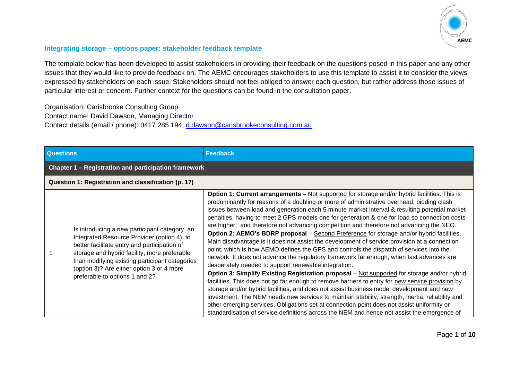

## **Integrating storage – options paper: stakeholder feedback template**

The template below has been developed to assist stakeholders in providing their feedback on the questions posed in this paper and any other issues that they would like to provide feedback on. The AEMC encourages stakeholders to use this template to assist it to consider the views expressed by stakeholders on each issue. Stakeholders should not feel obliged to answer each question, but rather address those issues of particular interest or concern. Further context for the questions can be found in the consultation paper.

Organisation: Carisbrooke Consulting Group Contact name: David Dawson, Managing Director Contact details (email / phone): 0417 285 194, [d.dawson@carisbrookeconsulting.com.au](mailto:d.dawson@carisbrookeconsulting.com.au)

| <b>Questions</b>                                    |                                                                                                                                                                                                                                                                                                                               | <b>Feedback</b>                                                                                                                                                                                                                                                                                                                                                                                                                                                                                                                                                                                                                                                                                                                                                                                                                                                                                                                                                                                                                                                                                                                                                                                                                                                                                                                                                                                                                                                                                                                   |  |
|-----------------------------------------------------|-------------------------------------------------------------------------------------------------------------------------------------------------------------------------------------------------------------------------------------------------------------------------------------------------------------------------------|-----------------------------------------------------------------------------------------------------------------------------------------------------------------------------------------------------------------------------------------------------------------------------------------------------------------------------------------------------------------------------------------------------------------------------------------------------------------------------------------------------------------------------------------------------------------------------------------------------------------------------------------------------------------------------------------------------------------------------------------------------------------------------------------------------------------------------------------------------------------------------------------------------------------------------------------------------------------------------------------------------------------------------------------------------------------------------------------------------------------------------------------------------------------------------------------------------------------------------------------------------------------------------------------------------------------------------------------------------------------------------------------------------------------------------------------------------------------------------------------------------------------------------------|--|
|                                                     | Chapter 1 - Registration and participation framework                                                                                                                                                                                                                                                                          |                                                                                                                                                                                                                                                                                                                                                                                                                                                                                                                                                                                                                                                                                                                                                                                                                                                                                                                                                                                                                                                                                                                                                                                                                                                                                                                                                                                                                                                                                                                                   |  |
| Question 1: Registration and classification (p. 17) |                                                                                                                                                                                                                                                                                                                               |                                                                                                                                                                                                                                                                                                                                                                                                                                                                                                                                                                                                                                                                                                                                                                                                                                                                                                                                                                                                                                                                                                                                                                                                                                                                                                                                                                                                                                                                                                                                   |  |
|                                                     | Is introducing a new participant category, an<br>Integrated Resource Provider (option 4), to<br>better facilitate entry and participation of<br>storage and hybrid facility, more preferable<br>than modifying existing participant categories<br>(option 3)? Are either option 3 or 4 more<br>preferable to options 1 and 2? | Option 1: Current arrangements - Not supported for storage and/or hybrid facilities. This is<br>predominantly for reasons of a doubling or more of administrative overhead, bidding clash<br>issues between load and generation each 5 minute market interval & resulting potential market<br>penalties, having to meet 2 GPS models one for generation & one for load so connection costs<br>are higher, and therefore not advancing competition and therefore not advancing the NEO.<br>Option 2: AEMO's BDRP proposal - Second Preference for storage and/or hybrid facilities.<br>Main disadvantage is it does not assist the development of service provision at a connection<br>point, which is how AEMO defines the GPS and controls the dispatch of services into the<br>network. It does not advance the regulatory framework far enough, when fast advances are<br>desperately needed to support renewable integration.<br>Option 3: Simplify Existing Registration proposal - Not supported for storage and/or hybrid<br>facilities. This does not go far enough to remove barriers to entry for new service provision by<br>storage and/or hybrid facilities, and does not assist business model development and new<br>investment. The NEM needs new services to maintain stability, strength, inertia, reliability and<br>other emerging services. Obligations set at connection point does not assist uniformity or<br>standardisation of service definitions across the NEM and hence not assist the emergence of |  |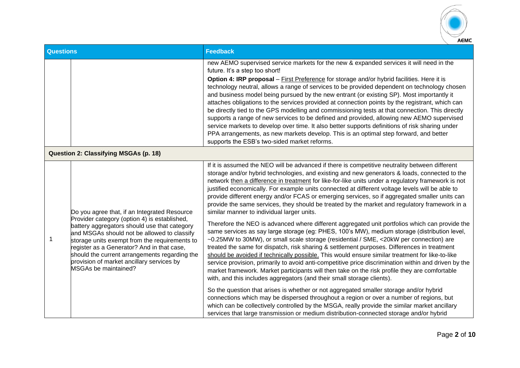

| <b>Questions</b>                      |                                                                                                                                                                                                                                                                                                                                                                                                                         | <b>Feedback</b>                                                                                                                                                                                                                                                                                                                                                                                                                                                                                                                                                                                                                                                                                                                                                                                                                                                                                                                                                                                                                                                                                                                                                                                                                                                                                                                                                                                                                                                                                                                                                                                                                                                                                                                                                                                                            |
|---------------------------------------|-------------------------------------------------------------------------------------------------------------------------------------------------------------------------------------------------------------------------------------------------------------------------------------------------------------------------------------------------------------------------------------------------------------------------|----------------------------------------------------------------------------------------------------------------------------------------------------------------------------------------------------------------------------------------------------------------------------------------------------------------------------------------------------------------------------------------------------------------------------------------------------------------------------------------------------------------------------------------------------------------------------------------------------------------------------------------------------------------------------------------------------------------------------------------------------------------------------------------------------------------------------------------------------------------------------------------------------------------------------------------------------------------------------------------------------------------------------------------------------------------------------------------------------------------------------------------------------------------------------------------------------------------------------------------------------------------------------------------------------------------------------------------------------------------------------------------------------------------------------------------------------------------------------------------------------------------------------------------------------------------------------------------------------------------------------------------------------------------------------------------------------------------------------------------------------------------------------------------------------------------------------|
|                                       |                                                                                                                                                                                                                                                                                                                                                                                                                         | new AEMO supervised service markets for the new & expanded services it will need in the<br>future. It's a step too short!<br>Option 4: IRP proposal - First Preference for storage and/or hybrid facilities. Here it is<br>technology neutral, allows a range of services to be provided dependent on technology chosen<br>and business model being pursued by the new entrant (or existing SP). Most importantly it<br>attaches obligations to the services provided at connection points by the registrant, which can<br>be directly tied to the GPS modelling and commissioning tests at that connection. This directly<br>supports a range of new services to be defined and provided, allowing new AEMO supervised<br>service markets to develop over time. It also better supports definitions of risk sharing under<br>PPA arrangements, as new markets develop. This is an optimal step forward, and better<br>supports the ESB's two-sided market reforms.                                                                                                                                                                                                                                                                                                                                                                                                                                                                                                                                                                                                                                                                                                                                                                                                                                                        |
| Question 2: Classifying MSGAs (p. 18) |                                                                                                                                                                                                                                                                                                                                                                                                                         |                                                                                                                                                                                                                                                                                                                                                                                                                                                                                                                                                                                                                                                                                                                                                                                                                                                                                                                                                                                                                                                                                                                                                                                                                                                                                                                                                                                                                                                                                                                                                                                                                                                                                                                                                                                                                            |
| 1                                     | Do you agree that, if an Integrated Resource<br>Provider category (option 4) is established,<br>battery aggregators should use that category<br>and MSGAs should not be allowed to classify<br>storage units exempt from the requirements to<br>register as a Generator? And in that case,<br>should the current arrangements regarding the<br>provision of market ancillary services by<br><b>MSGAs be maintained?</b> | If it is assumed the NEO will be advanced if there is competitive neutrality between different<br>storage and/or hybrid technologies, and existing and new generators & loads, connected to the<br>network then a difference in treatment for like-for-like units under a regulatory framework is not<br>justified economically. For example units connected at different voltage levels will be able to<br>provide different energy and/or FCAS or emerging services, so if aggregated smaller units can<br>provide the same services, they should be treated by the market and regulatory framework in a<br>similar manner to individual larger units.<br>Therefore the NEO is advanced where different aggregated unit portfolios which can provide the<br>same services as say large storage (eg: PHES, 100's MW), medium storage (distribution level,<br>~0.25MW to 30MW), or small scale storage (residential / SME, <20kW per connection) are<br>treated the same for dispatch, risk sharing & settlement purposes. Differences in treatment<br>should be avoided if technically possible. This would ensure similar treatment for like-to-like<br>service provision, primarily to avoid anti-competitive price discrimination within and driven by the<br>market framework. Market participants will then take on the risk profile they are comfortable<br>with, and this includes aggregators (and their small storage clients).<br>So the question that arises is whether or not aggregated smaller storage and/or hybrid<br>connections which may be dispersed throughout a region or over a number of regions, but<br>which can be collectively controlled by the MSGA, really provide the similar market ancillary<br>services that large transmission or medium distribution-connected storage and/or hybrid |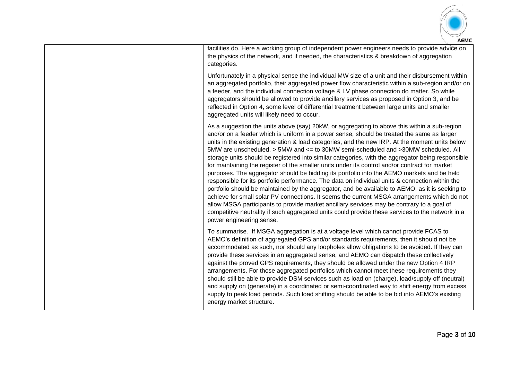

|  | facilities do. Here a working group of independent power engineers needs to provide advice on<br>the physics of the network, and if needed, the characteristics & breakdown of aggregation<br>categories.                                                                                                                                                                                                                                                                                                                                                                                                                                                                                                                                                                                                                                                                                                                                                                                                                                                                                                                                                                                                                |
|--|--------------------------------------------------------------------------------------------------------------------------------------------------------------------------------------------------------------------------------------------------------------------------------------------------------------------------------------------------------------------------------------------------------------------------------------------------------------------------------------------------------------------------------------------------------------------------------------------------------------------------------------------------------------------------------------------------------------------------------------------------------------------------------------------------------------------------------------------------------------------------------------------------------------------------------------------------------------------------------------------------------------------------------------------------------------------------------------------------------------------------------------------------------------------------------------------------------------------------|
|  | Unfortunately in a physical sense the individual MW size of a unit and their disbursement within<br>an aggregated portfolio, their aggregated power flow characteristic within a sub-region and/or on<br>a feeder, and the individual connection voltage & LV phase connection do matter. So while<br>aggregators should be allowed to provide ancillary services as proposed in Option 3, and be<br>reflected in Option 4, some level of differential treatment between large units and smaller<br>aggregated units will likely need to occur.                                                                                                                                                                                                                                                                                                                                                                                                                                                                                                                                                                                                                                                                          |
|  | As a suggestion the units above (say) 20kW, or aggregating to above this within a sub-region<br>and/or on a feeder which is uniform in a power sense, should be treated the same as larger<br>units in the existing generation & load categories, and the new IRP. At the moment units below<br>5MW are unscheduled, > 5MW and <= to 30MW semi-scheduled and >30MW scheduled. All<br>storage units should be registered into similar categories, with the aggregator being responsible<br>for maintaining the register of the smaller units under its control and/or contract for market<br>purposes. The aggregator should be bidding its portfolio into the AEMO markets and be held<br>responsible for its portfolio performance. The data on individual units & connection within the<br>portfolio should be maintained by the aggregator, and be available to AEMO, as it is seeking to<br>achieve for small solar PV connections. It seems the current MSGA arrangements which do not<br>allow MSGA participants to provide market ancillary services may be contrary to a goal of<br>competitive neutrality if such aggregated units could provide these services to the network in a<br>power engineering sense. |
|  | To summarise. If MSGA aggregation is at a voltage level which cannot provide FCAS to<br>AEMO's definition of aggregated GPS and/or standards requirements, then it should not be<br>accommodated as such, nor should any loopholes allow obligations to be avoided. If they can<br>provide these services in an aggregated sense, and AEMO can dispatch these collectively<br>against the proved GPS requirements, they should be allowed under the new Option 4 IRP<br>arrangements. For those aggregated portfolios which cannot meet these requirements they<br>should still be able to provide DSM services such as load on (charge), load/supply off (neutral)<br>and supply on (generate) in a coordinated or semi-coordinated way to shift energy from excess<br>supply to peak load periods. Such load shifting should be able to be bid into AEMO's existing<br>energy market structure.                                                                                                                                                                                                                                                                                                                        |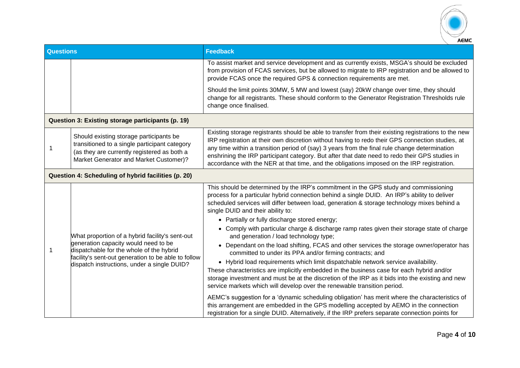

| <b>Questions</b> |                                                                                                                                                                                                                                           | <b>Feedback</b>                                                                                                                                                                                                                                                                                                                                                                                                                                                                                                                                                  |  |
|------------------|-------------------------------------------------------------------------------------------------------------------------------------------------------------------------------------------------------------------------------------------|------------------------------------------------------------------------------------------------------------------------------------------------------------------------------------------------------------------------------------------------------------------------------------------------------------------------------------------------------------------------------------------------------------------------------------------------------------------------------------------------------------------------------------------------------------------|--|
|                  |                                                                                                                                                                                                                                           | To assist market and service development and as currently exists, MSGA's should be excluded<br>from provision of FCAS services, but be allowed to migrate to IRP registration and be allowed to<br>provide FCAS once the required GPS & connection requirements are met.                                                                                                                                                                                                                                                                                         |  |
|                  |                                                                                                                                                                                                                                           | Should the limit points 30MW, 5 MW and lowest (say) 20kW change over time, they should<br>change for all registrants. These should conform to the Generator Registration Thresholds rule<br>change once finalised.                                                                                                                                                                                                                                                                                                                                               |  |
|                  | Question 3: Existing storage participants (p. 19)                                                                                                                                                                                         |                                                                                                                                                                                                                                                                                                                                                                                                                                                                                                                                                                  |  |
| 1                | Should existing storage participants be<br>transitioned to a single participant category<br>(as they are currently registered as both a<br>Market Generator and Market Customer)?                                                         | Existing storage registrants should be able to transfer from their existing registrations to the new<br>IRP registration at their own discretion without having to redo their GPS connection studies, at<br>any time within a transition period of (say) 3 years from the final rule change determination<br>enshrining the IRP participant category. But after that date need to redo their GPS studies in<br>accordance with the NER at that time, and the obligations imposed on the IRP registration.                                                        |  |
|                  | Question 4: Scheduling of hybrid facilities (p. 20)                                                                                                                                                                                       |                                                                                                                                                                                                                                                                                                                                                                                                                                                                                                                                                                  |  |
| 1                | What proportion of a hybrid facility's sent-out<br>generation capacity would need to be<br>dispatchable for the whole of the hybrid<br>facility's sent-out generation to be able to follow<br>dispatch instructions, under a single DUID? | This should be determined by the IRP's commitment in the GPS study and commissioning<br>process for a particular hybrid connection behind a single DUID. An IRP's ability to deliver<br>scheduled services will differ between load, generation & storage technology mixes behind a<br>single DUID and their ability to:<br>• Partially or fully discharge stored energy;<br>• Comply with particular charge & discharge ramp rates given their storage state of charge                                                                                          |  |
|                  |                                                                                                                                                                                                                                           | and generation / load technology type;<br>• Dependant on the load shifting, FCAS and other services the storage owner/operator has<br>committed to under its PPA and/or firming contracts; and<br>• Hybrid load requirements which limit dispatchable network service availability.<br>These characteristics are implicitly embedded in the business case for each hybrid and/or<br>storage investment and must be at the discretion of the IRP as it bids into the existing and new<br>service markets which will develop over the renewable transition period. |  |
|                  |                                                                                                                                                                                                                                           | AEMC's suggestion for a 'dynamic scheduling obligation' has merit where the characteristics of<br>this arrangement are embedded in the GPS modelling accepted by AEMO in the connection<br>registration for a single DUID. Alternatively, if the IRP prefers separate connection points for                                                                                                                                                                                                                                                                      |  |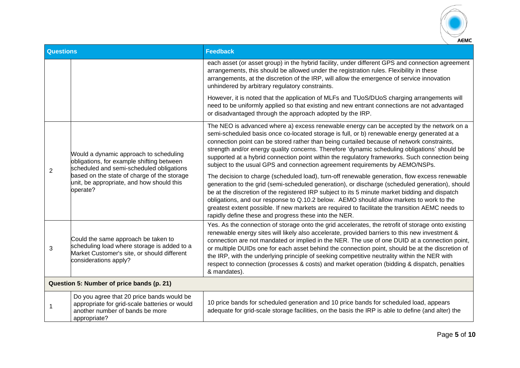

| <b>Questions</b> |                                                                                                                                                                                                                                         | <b>Feedback</b>                                                                                                                                                                                                                                                                                                                                                                                                                                                                                                                                                                                                            |
|------------------|-----------------------------------------------------------------------------------------------------------------------------------------------------------------------------------------------------------------------------------------|----------------------------------------------------------------------------------------------------------------------------------------------------------------------------------------------------------------------------------------------------------------------------------------------------------------------------------------------------------------------------------------------------------------------------------------------------------------------------------------------------------------------------------------------------------------------------------------------------------------------------|
|                  |                                                                                                                                                                                                                                         | each asset (or asset group) in the hybrid facility, under different GPS and connection agreement<br>arrangements, this should be allowed under the registration rules. Flexibility in these<br>arrangements, at the discretion of the IRP, will allow the emergence of service innovation<br>unhindered by arbitrary regulatory constraints.                                                                                                                                                                                                                                                                               |
|                  |                                                                                                                                                                                                                                         | However, it is noted that the application of MLFs and TUoS/DUoS charging arrangements will<br>need to be uniformly applied so that existing and new entrant connections are not advantaged<br>or disadvantaged through the approach adopted by the IRP.                                                                                                                                                                                                                                                                                                                                                                    |
| $\overline{2}$   | Would a dynamic approach to scheduling<br>obligations, for example shifting between<br>scheduled and semi-scheduled obligations<br>based on the state of charge of the storage<br>unit, be appropriate, and how should this<br>operate? | The NEO is advanced where a) excess renewable energy can be accepted by the network on a<br>semi-scheduled basis once co-located storage is full, or b) renewable energy generated at a<br>connection point can be stored rather than being curtailed because of network constraints,<br>strength and/or energy quality concerns. Therefore 'dynamic scheduling obligations' should be<br>supported at a hybrid connection point within the regulatory frameworks. Such connection being<br>subject to the usual GPS and connection agreement requirements by AEMO/NSPs.                                                   |
|                  |                                                                                                                                                                                                                                         | The decision to charge (scheduled load), turn-off renewable generation, flow excess renewable<br>generation to the grid (semi-scheduled generation), or discharge (scheduled generation), should<br>be at the discretion of the registered IRP subject to its 5 minute market bidding and dispatch<br>obligations, and our response to Q.10.2 below. AEMO should allow markets to work to the<br>greatest extent possible. If new markets are required to facilitate the transition AEMC needs to<br>rapidly define these and progress these into the NER.                                                                 |
| 3                | Could the same approach be taken to<br>scheduling load where storage is added to a<br>Market Customer's site, or should different<br>considerations apply?                                                                              | Yes. As the connection of storage onto the grid accelerates, the retrofit of storage onto existing<br>renewable energy sites will likely also accelerate, provided barriers to this new investment &<br>connection are not mandated or implied in the NER. The use of one DUID at a connection point,<br>or multiple DUIDs one for each asset behind the connection point, should be at the discretion of<br>the IRP, with the underlying principle of seeking competitive neutrality within the NER with<br>respect to connection (processes & costs) and market operation (bidding & dispatch, penalties<br>& mandates). |
|                  | Question 5: Number of price bands (p. 21)                                                                                                                                                                                               |                                                                                                                                                                                                                                                                                                                                                                                                                                                                                                                                                                                                                            |
| 1                | Do you agree that 20 price bands would be<br>appropriate for grid-scale batteries or would<br>another number of bands be more<br>appropriate?                                                                                           | 10 price bands for scheduled generation and 10 price bands for scheduled load, appears<br>adequate for grid-scale storage facilities, on the basis the IRP is able to define (and alter) the                                                                                                                                                                                                                                                                                                                                                                                                                               |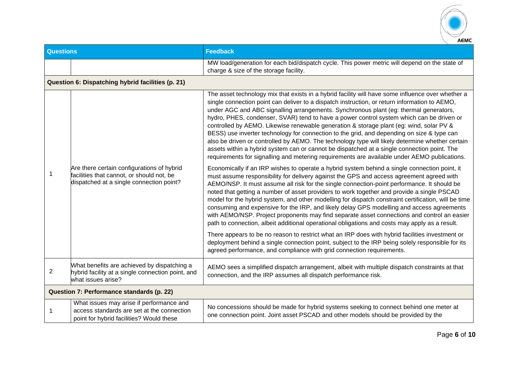

| <b>Questions</b> |                                                                                                                                     | <b>Feedback</b>                                                                                                                                                                                                                                                                                                                                                                                                                                                                                                                                                                                                                                                                                                                                                                                                                                                                    |
|------------------|-------------------------------------------------------------------------------------------------------------------------------------|------------------------------------------------------------------------------------------------------------------------------------------------------------------------------------------------------------------------------------------------------------------------------------------------------------------------------------------------------------------------------------------------------------------------------------------------------------------------------------------------------------------------------------------------------------------------------------------------------------------------------------------------------------------------------------------------------------------------------------------------------------------------------------------------------------------------------------------------------------------------------------|
|                  |                                                                                                                                     | MW load/generation for each bid/dispatch cycle. This power metric will depend on the state of<br>charge & size of the storage facility.                                                                                                                                                                                                                                                                                                                                                                                                                                                                                                                                                                                                                                                                                                                                            |
|                  | Question 6: Dispatching hybrid facilities (p. 21)                                                                                   |                                                                                                                                                                                                                                                                                                                                                                                                                                                                                                                                                                                                                                                                                                                                                                                                                                                                                    |
|                  |                                                                                                                                     | The asset technology mix that exists in a hybrid facility will have some influence over whether a<br>single connection point can deliver to a dispatch instruction, or return information to AEMO,<br>under AGC and ABC signalling arrangements. Synchronous plant (eg: thermal generators,<br>hydro, PHES, condenser, SVAR) tend to have a power control system which can be driven or<br>controlled by AEMO. Likewise renewable generation & storage plant (eg: wind, solar PV &<br>BESS) use inverter technology for connection to the grid, and depending on size & type can<br>also be driven or controlled by AEMO. The technology type will likely determine whether certain<br>assets within a hybrid system can or cannot be dispatched at a single connection point. The<br>requirements for signalling and metering requirements are available under AEMO publications. |
| 1                | Are there certain configurations of hybrid<br>facilities that cannot, or should not, be<br>dispatched at a single connection point? | Economically if an IRP wishes to operate a hybrid system behind a single connection point, it<br>must assume responsibility for delivery against the GPS and access agreement agreed with<br>AEMO/NSP. It must assume all risk for the single connection-point performance. It should be<br>noted that getting a number of asset providers to work together and provide a single PSCAD<br>model for the hybrid system, and other modelling for dispatch constraint certification, will be time<br>consuming and expensive for the IRP, and likely delay GPS modelling and access agreements<br>with AEMO/NSP. Project proponents may find separate asset connections and control an easier<br>path to connection, albeit additional operational obligations and costs may apply as a result.                                                                                       |
|                  |                                                                                                                                     | There appears to be no reason to restrict what an IRP does with hybrid facilities investment or<br>deployment behind a single connection point, subject to the IRP being solely responsible for its<br>agreed performance, and compliance with grid connection requirements.                                                                                                                                                                                                                                                                                                                                                                                                                                                                                                                                                                                                       |
| $\overline{c}$   | What benefits are achieved by dispatching a<br>hybrid facility at a single connection point, and<br>what issues arise?              | AEMO sees a simplified dispatch arrangement, albeit with multiple dispatch constraints at that<br>connection, and the IRP assumes all dispatch performance risk.                                                                                                                                                                                                                                                                                                                                                                                                                                                                                                                                                                                                                                                                                                                   |
|                  | Question 7: Performance standards (p. 22)                                                                                           |                                                                                                                                                                                                                                                                                                                                                                                                                                                                                                                                                                                                                                                                                                                                                                                                                                                                                    |
| 1                | What issues may arise if performance and<br>access standards are set at the connection<br>point for hybrid facilities? Would these  | No concessions should be made for hybrid systems seeking to connect behind one meter at<br>one connection point. Joint asset PSCAD and other models should be provided by the                                                                                                                                                                                                                                                                                                                                                                                                                                                                                                                                                                                                                                                                                                      |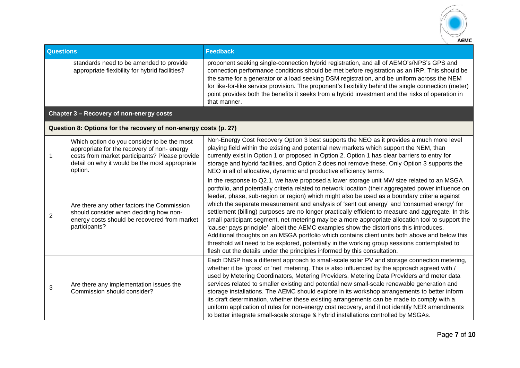

| <b>Questions</b> |                                                                                                                                                                                                          | <b>Feedback</b>                                                                                                                                                                                                                                                                                                                                                                                                                                                                                                                                                                                                                                                                                                                                                                                                                                                                                                                                                                       |
|------------------|----------------------------------------------------------------------------------------------------------------------------------------------------------------------------------------------------------|---------------------------------------------------------------------------------------------------------------------------------------------------------------------------------------------------------------------------------------------------------------------------------------------------------------------------------------------------------------------------------------------------------------------------------------------------------------------------------------------------------------------------------------------------------------------------------------------------------------------------------------------------------------------------------------------------------------------------------------------------------------------------------------------------------------------------------------------------------------------------------------------------------------------------------------------------------------------------------------|
|                  | standards need to be amended to provide<br>appropriate flexibility for hybrid facilities?                                                                                                                | proponent seeking single-connection hybrid registration, and all of AEMO's/NPS's GPS and<br>connection performance conditions should be met before registration as an IRP. This should be<br>the same for a generator or a load seeking DSM registration, and be uniform across the NEM<br>for like-for-like service provision. The proponent's flexibility behind the single connection (meter)<br>point provides both the benefits it seeks from a hybrid investment and the risks of operation in<br>that manner.                                                                                                                                                                                                                                                                                                                                                                                                                                                                  |
|                  | Chapter 3 - Recovery of non-energy costs                                                                                                                                                                 |                                                                                                                                                                                                                                                                                                                                                                                                                                                                                                                                                                                                                                                                                                                                                                                                                                                                                                                                                                                       |
|                  | Question 8: Options for the recovery of non-energy costs (p. 27)                                                                                                                                         |                                                                                                                                                                                                                                                                                                                                                                                                                                                                                                                                                                                                                                                                                                                                                                                                                                                                                                                                                                                       |
|                  | Which option do you consider to be the most<br>appropriate for the recovery of non-energy<br>costs from market participants? Please provide<br>detail on why it would be the most appropriate<br>option. | Non-Energy Cost Recovery Option 3 best supports the NEO as it provides a much more level<br>playing field within the existing and potential new markets which support the NEM, than<br>currently exist in Option 1 or proposed in Option 2. Option 1 has clear barriers to entry for<br>storage and hybrid facilities, and Option 2 does not remove these. Only Option 3 supports the<br>NEO in all of allocative, dynamic and productive efficiency terms.                                                                                                                                                                                                                                                                                                                                                                                                                                                                                                                           |
| 2                | Are there any other factors the Commission<br>should consider when deciding how non-<br>energy costs should be recovered from market<br>participants?                                                    | In the response to Q2.1, we have proposed a lower storage unit MW size related to an MSGA<br>portfolio, and potentially criteria related to network location (their aggregated power influence on<br>feeder, phase, sub-region or region) which might also be used as a boundary criteria against<br>which the separate measurement and analysis of 'sent out energy' and 'consumed energy' for<br>settlement (billing) purposes are no longer practically efficient to measure and aggregate. In this<br>small participant segment, net metering may be a more appropriate allocation tool to support the<br>'causer pays principle', albeit the AEMC examples show the distortions this introduces.<br>Additional thoughts on an MSGA portfolio which contains client units both above and below this<br>threshold will need to be explored, potentially in the working group sessions contemplated to<br>flesh out the details under the principles informed by this consultation. |
| 3                | Are there any implementation issues the<br>Commission should consider?                                                                                                                                   | Each DNSP has a different approach to small-scale solar PV and storage connection metering,<br>whether it be 'gross' or 'net' metering. This is also influenced by the approach agreed with /<br>used by Metering Coordinators, Metering Providers, Metering Data Providers and meter data<br>services related to smaller existing and potential new small-scale renewable generation and<br>storage installations. The AEMC should explore in its workshop arrangements to better inform<br>its draft determination, whether these existing arrangements can be made to comply with a<br>uniform application of rules for non-energy cost recovery, and if not identify NER amendments<br>to better integrate small-scale storage & hybrid installations controlled by MSGAs.                                                                                                                                                                                                        |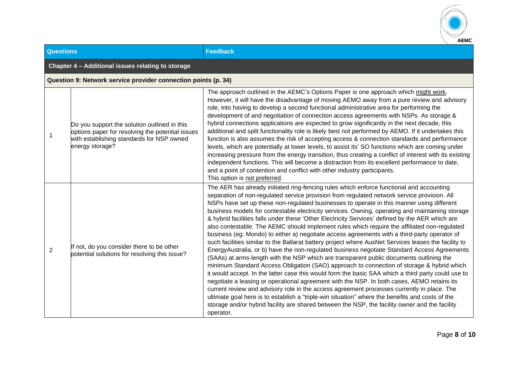

| <b>Questions</b> |                                                                                                                                                                  | <b>Feedback</b>                                                                                                                                                                                                                                                                                                                                                                                                                                                                                                                                                                                                                                                                                                                                                                                                                                                                                                                                                                                                                                                                                                                                                                                                                                                                                                                                                                                                                                                                                                                                                                                               |  |
|------------------|------------------------------------------------------------------------------------------------------------------------------------------------------------------|---------------------------------------------------------------------------------------------------------------------------------------------------------------------------------------------------------------------------------------------------------------------------------------------------------------------------------------------------------------------------------------------------------------------------------------------------------------------------------------------------------------------------------------------------------------------------------------------------------------------------------------------------------------------------------------------------------------------------------------------------------------------------------------------------------------------------------------------------------------------------------------------------------------------------------------------------------------------------------------------------------------------------------------------------------------------------------------------------------------------------------------------------------------------------------------------------------------------------------------------------------------------------------------------------------------------------------------------------------------------------------------------------------------------------------------------------------------------------------------------------------------------------------------------------------------------------------------------------------------|--|
|                  | Chapter 4 - Additional issues relating to storage                                                                                                                |                                                                                                                                                                                                                                                                                                                                                                                                                                                                                                                                                                                                                                                                                                                                                                                                                                                                                                                                                                                                                                                                                                                                                                                                                                                                                                                                                                                                                                                                                                                                                                                                               |  |
|                  | Question 9: Network service provider connection points (p. 34)                                                                                                   |                                                                                                                                                                                                                                                                                                                                                                                                                                                                                                                                                                                                                                                                                                                                                                                                                                                                                                                                                                                                                                                                                                                                                                                                                                                                                                                                                                                                                                                                                                                                                                                                               |  |
| 1                | Do you support the solution outlined in this<br>options paper for resolving the potential issues<br>with establishing standards for NSP owned<br>energy storage? | The approach outlined in the AEMC's Options Paper is one approach which might work.<br>However, it will have the disadvantage of moving AEMO away from a pure review and advisory<br>role, into having to develop a second functional administrative area for performing the<br>development of and negotiation of connection access agreements with NSPs. As storage &<br>hybrid connections applications are expected to grow significantly in the next decade, this<br>additional and split functionality role is likely best not performed by AEMO. If it undertakes this<br>function is also assumes the risk of accepting access & connection standards and performance<br>levels, which are potentially at lower levels, to assist its' SO functions which are coming under<br>increasing pressure from the energy transition, thus creating a conflict of interest with its existing<br>independent functions. This will become a distraction from its excellent performance to date,<br>and a point of contention and conflict with other industry participants.<br>This option is not preferred.                                                                                                                                                                                                                                                                                                                                                                                                                                                                                                     |  |
| 2                | If not, do you consider there to be other<br>potential solutions for resolving this issue?                                                                       | The AER has already initiated ring-fencing rules which enforce functional and accounting<br>separation of non-regulated service provision from regulated network service provision. All<br>NSPs have set up these non-regulated businesses to operate in this manner using different<br>business models for contestable electricity services. Owning, operating and maintaining storage<br>& hybrid facilities falls under these 'Other Electricity Services' defined by the AER which are<br>also contestable. The AEMC should implement rules which require the affiliated non-regulated<br>business (eg: Mondo) to either a) negotiate access agreements with a third-party operator of<br>such facilities similar to the Ballarat battery project where AusNet Services leases the facility to<br>EnergyAustralia, or b) have the non-regulated business negotiate Standard Access Agreements<br>(SAAs) at arms-length with the NSP which are transparent public documents outlining the<br>minimum Standard Access Obligation (SAO) approach to connection of storage & hybrid which<br>it would accept. In the latter case this would form the basic SAA which a third party could use to<br>negotiate a leasing or operational agreement with the NSP. In both cases, AEMO retains its<br>current review and advisory role in the access agreement processes currently in place. The<br>ultimate goal here is to establish a "triple-win situation" where the benefits and costs of the<br>storage and/or hybrid facility are shared between the NSP, the facility owner and the facility<br>operator. |  |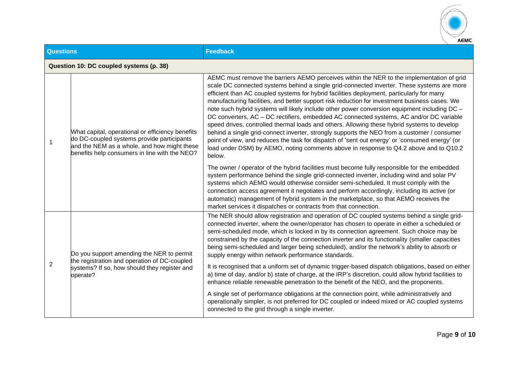

| <b>Questions</b> |                                                                                                                                                                                                | <b>Feedback</b>                                                                                                                                                                                                                                                                                                                                                                                                                                                                                                                                                                                                                                                                                                                                                                                                                                                                                                                                                                     |  |
|------------------|------------------------------------------------------------------------------------------------------------------------------------------------------------------------------------------------|-------------------------------------------------------------------------------------------------------------------------------------------------------------------------------------------------------------------------------------------------------------------------------------------------------------------------------------------------------------------------------------------------------------------------------------------------------------------------------------------------------------------------------------------------------------------------------------------------------------------------------------------------------------------------------------------------------------------------------------------------------------------------------------------------------------------------------------------------------------------------------------------------------------------------------------------------------------------------------------|--|
|                  | Question 10: DC coupled systems (p. 38)                                                                                                                                                        |                                                                                                                                                                                                                                                                                                                                                                                                                                                                                                                                                                                                                                                                                                                                                                                                                                                                                                                                                                                     |  |
| 1                | What capital, operational or efficiency benefits<br>do DC-coupled systems provide participants<br>and the NEM as a whole, and how might these<br>benefits help consumers in line with the NEO? | AEMC must remove the barriers AEMO perceives within the NER to the implementation of grid<br>scale DC connected systems behind a single grid-connected inverter. These systems are more<br>efficient than AC coupled systems for hybrid facilities deployment, particularly for many<br>manufacturing facilities, and better support risk reduction for investment business cases. We<br>note such hybrid systems will likely include other power conversion equipment including DC -<br>DC converters, AC - DC rectifiers, embedded AC connected systems, AC and/or DC variable<br>speed drives, controlled thermal loads and others. Allowing these hybrid systems to develop<br>behind a single grid-connect inverter, strongly supports the NEO from a customer / consumer<br>point of view, and reduces the task for dispatch of 'sent out energy' or 'consumed energy' (or<br>load under DSM) by AEMO, noting comments above in response to Q4.2 above and to Q10.2<br>below. |  |
|                  |                                                                                                                                                                                                | The owner / operator of the hybrid facilities must become fully responsible for the embedded<br>system performance behind the single grid-connected inverter, including wind and solar PV<br>systems which AEMO would otherwise consider semi-scheduled. It must comply with the<br>connection access agreement it negotiates and perform accordingly, including its active (or<br>automatic) management of hybrid system in the marketplace, so that AEMO receives the<br>market services it dispatches or contracts from that connection.                                                                                                                                                                                                                                                                                                                                                                                                                                         |  |
| 2                | Do you support amending the NER to permit<br>the registration and operation of DC-coupled<br>systems? If so, how should they register and<br>operate?                                          | The NER should allow registration and operation of DC coupled systems behind a single grid-<br>connected inverter, where the owner/operator has chosen to operate in either a scheduled or<br>semi-scheduled mode, which is locked in by its connection agreement. Such choice may be<br>constrained by the capacity of the connection inverter and its functionality (smaller capacities<br>being semi-scheduled and larger being scheduled), and/or the network's ability to absorb or<br>supply energy within network performance standards.                                                                                                                                                                                                                                                                                                                                                                                                                                     |  |
|                  |                                                                                                                                                                                                | It is recognised that a uniform set of dynamic trigger-based dispatch obligations, based on either<br>a) time of day, and/or b) state of charge, at the IRP's discretion, could allow hybrid facilities to<br>enhance reliable renewable penetration to the benefit of the NEO, and the proponents.                                                                                                                                                                                                                                                                                                                                                                                                                                                                                                                                                                                                                                                                                 |  |
|                  |                                                                                                                                                                                                | A single set of performance obligations at the connection point, while administratively and<br>operationally simpler, is not preferred for DC coupled or indeed mixed or AC coupled systems<br>connected to the grid through a single inverter.                                                                                                                                                                                                                                                                                                                                                                                                                                                                                                                                                                                                                                                                                                                                     |  |